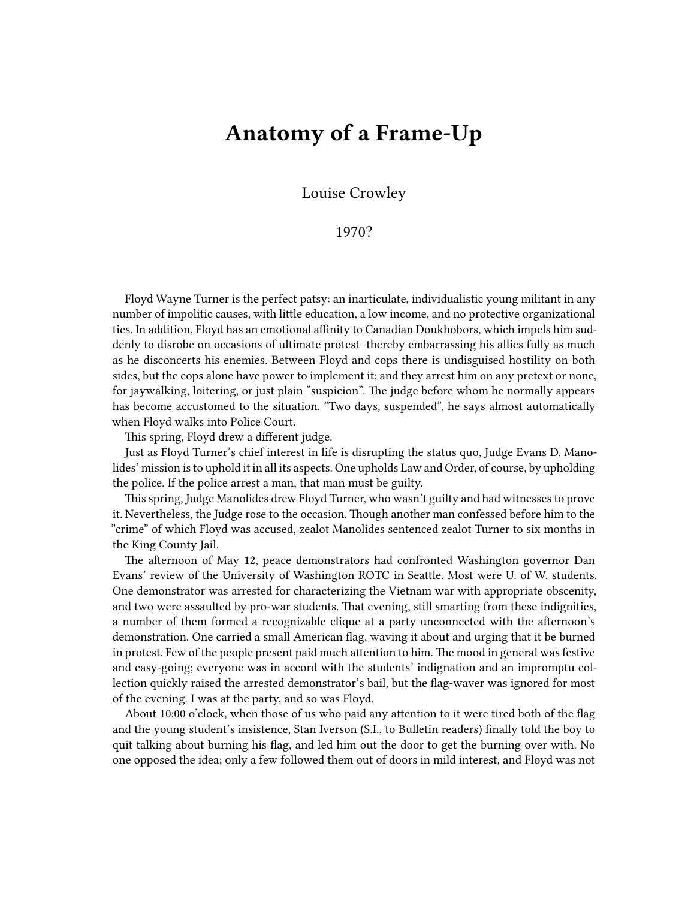## **Anatomy of a Frame-Up**

Louise Crowley

1970?

Floyd Wayne Turner is the perfect patsy: an inarticulate, individualistic young militant in any number of impolitic causes, with little education, a low income, and no protective organizational ties. In addition, Floyd has an emotional affinity to Canadian Doukhobors, which impels him suddenly to disrobe on occasions of ultimate protest–thereby embarrassing his allies fully as much as he disconcerts his enemies. Between Floyd and cops there is undisguised hostility on both sides, but the cops alone have power to implement it; and they arrest him on any pretext or none, for jaywalking, loitering, or just plain "suspicion". The judge before whom he normally appears has become accustomed to the situation. "Two days, suspended", he says almost automatically when Floyd walks into Police Court.

This spring, Floyd drew a different judge.

Just as Floyd Turner's chief interest in life is disrupting the status quo, Judge Evans D. Manolides' mission is to uphold it in all its aspects. One upholds Law and Order, of course, by upholding the police. If the police arrest a man, that man must be guilty.

This spring, Judge Manolides drew Floyd Turner, who wasn't guilty and had witnesses to prove it. Nevertheless, the Judge rose to the occasion. Though another man confessed before him to the "crime" of which Floyd was accused, zealot Manolides sentenced zealot Turner to six months in the King County Jail.

The afternoon of May 12, peace demonstrators had confronted Washington governor Dan Evans' review of the University of Washington ROTC in Seattle. Most were U. of W. students. One demonstrator was arrested for characterizing the Vietnam war with appropriate obscenity, and two were assaulted by pro-war students. That evening, still smarting from these indignities, a number of them formed a recognizable clique at a party unconnected with the afternoon's demonstration. One carried a small American flag, waving it about and urging that it be burned in protest. Few of the people present paid much attention to him. The mood in general was festive and easy-going; everyone was in accord with the students' indignation and an impromptu collection quickly raised the arrested demonstrator's bail, but the flag-waver was ignored for most of the evening. I was at the party, and so was Floyd.

About 10:00 o'clock, when those of us who paid any attention to it were tired both of the flag and the young student's insistence, Stan Iverson (S.I., to Bulletin readers) finally told the boy to quit talking about burning his flag, and led him out the door to get the burning over with. No one opposed the idea; only a few followed them out of doors in mild interest, and Floyd was not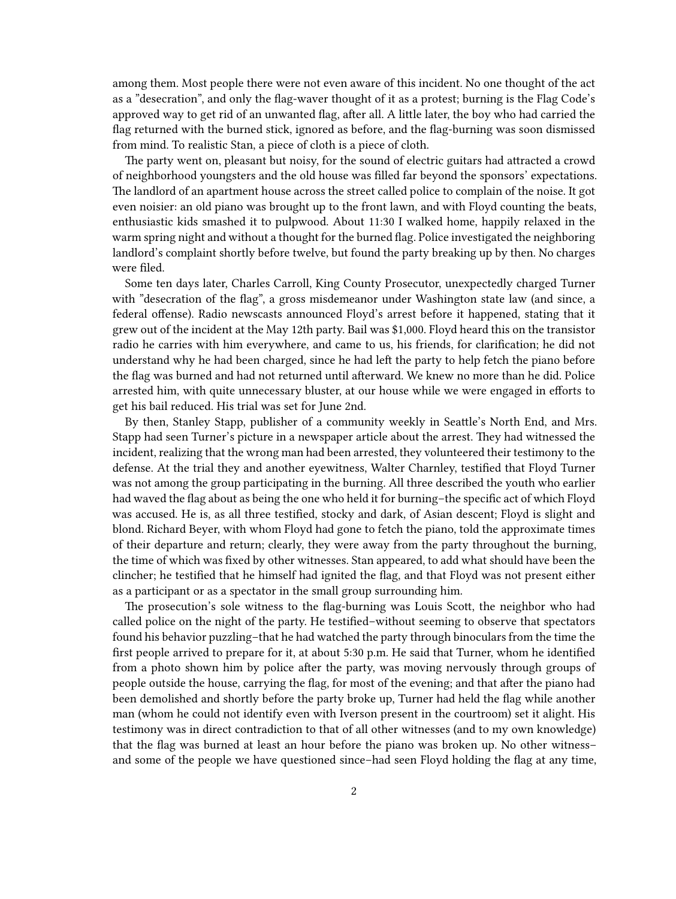among them. Most people there were not even aware of this incident. No one thought of the act as a "desecration", and only the flag-waver thought of it as a protest; burning is the Flag Code's approved way to get rid of an unwanted flag, after all. A little later, the boy who had carried the flag returned with the burned stick, ignored as before, and the flag-burning was soon dismissed from mind. To realistic Stan, a piece of cloth is a piece of cloth.

The party went on, pleasant but noisy, for the sound of electric guitars had attracted a crowd of neighborhood youngsters and the old house was filled far beyond the sponsors' expectations. The landlord of an apartment house across the street called police to complain of the noise. It got even noisier: an old piano was brought up to the front lawn, and with Floyd counting the beats, enthusiastic kids smashed it to pulpwood. About 11:30 I walked home, happily relaxed in the warm spring night and without a thought for the burned flag. Police investigated the neighboring landlord's complaint shortly before twelve, but found the party breaking up by then. No charges were filed.

Some ten days later, Charles Carroll, King County Prosecutor, unexpectedly charged Turner with "desecration of the flag", a gross misdemeanor under Washington state law (and since, a federal offense). Radio newscasts announced Floyd's arrest before it happened, stating that it grew out of the incident at the May 12th party. Bail was \$1,000. Floyd heard this on the transistor radio he carries with him everywhere, and came to us, his friends, for clarification; he did not understand why he had been charged, since he had left the party to help fetch the piano before the flag was burned and had not returned until afterward. We knew no more than he did. Police arrested him, with quite unnecessary bluster, at our house while we were engaged in efforts to get his bail reduced. His trial was set for June 2nd.

By then, Stanley Stapp, publisher of a community weekly in Seattle's North End, and Mrs. Stapp had seen Turner's picture in a newspaper article about the arrest. They had witnessed the incident, realizing that the wrong man had been arrested, they volunteered their testimony to the defense. At the trial they and another eyewitness, Walter Charnley, testified that Floyd Turner was not among the group participating in the burning. All three described the youth who earlier had waved the flag about as being the one who held it for burning–the specific act of which Floyd was accused. He is, as all three testified, stocky and dark, of Asian descent; Floyd is slight and blond. Richard Beyer, with whom Floyd had gone to fetch the piano, told the approximate times of their departure and return; clearly, they were away from the party throughout the burning, the time of which was fixed by other witnesses. Stan appeared, to add what should have been the clincher; he testified that he himself had ignited the flag, and that Floyd was not present either as a participant or as a spectator in the small group surrounding him.

The prosecution's sole witness to the flag-burning was Louis Scott, the neighbor who had called police on the night of the party. He testified–without seeming to observe that spectators found his behavior puzzling–that he had watched the party through binoculars from the time the first people arrived to prepare for it, at about 5:30 p.m. He said that Turner, whom he identified from a photo shown him by police after the party, was moving nervously through groups of people outside the house, carrying the flag, for most of the evening; and that after the piano had been demolished and shortly before the party broke up, Turner had held the flag while another man (whom he could not identify even with Iverson present in the courtroom) set it alight. His testimony was in direct contradiction to that of all other witnesses (and to my own knowledge) that the flag was burned at least an hour before the piano was broken up. No other witness– and some of the people we have questioned since–had seen Floyd holding the flag at any time,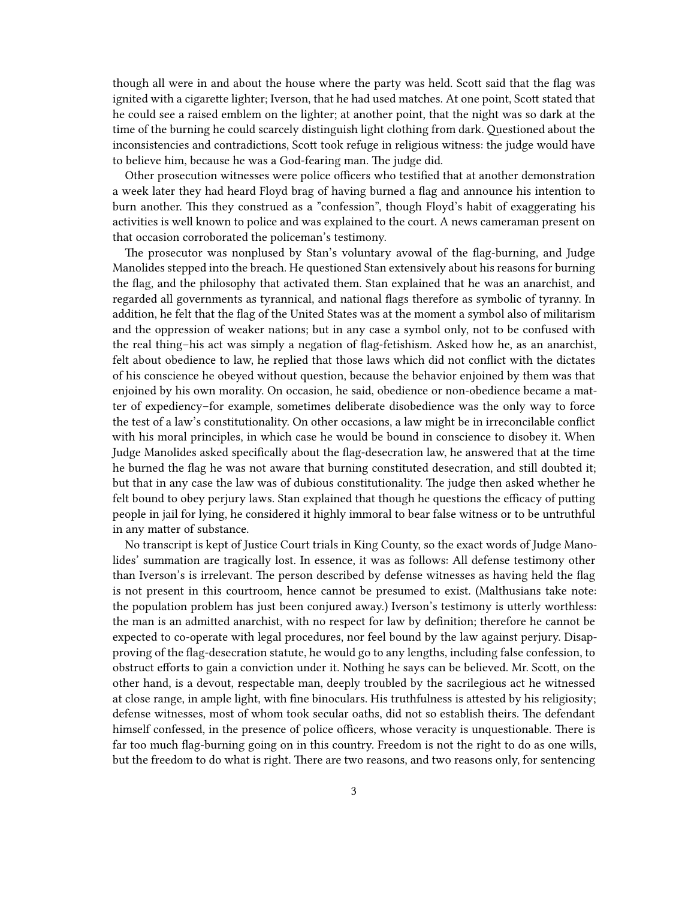though all were in and about the house where the party was held. Scott said that the flag was ignited with a cigarette lighter; Iverson, that he had used matches. At one point, Scott stated that he could see a raised emblem on the lighter; at another point, that the night was so dark at the time of the burning he could scarcely distinguish light clothing from dark. Questioned about the inconsistencies and contradictions, Scott took refuge in religious witness: the judge would have to believe him, because he was a God-fearing man. The judge did.

Other prosecution witnesses were police officers who testified that at another demonstration a week later they had heard Floyd brag of having burned a flag and announce his intention to burn another. This they construed as a "confession", though Floyd's habit of exaggerating his activities is well known to police and was explained to the court. A news cameraman present on that occasion corroborated the policeman's testimony.

The prosecutor was nonplused by Stan's voluntary avowal of the flag-burning, and Judge Manolides stepped into the breach. He questioned Stan extensively about his reasons for burning the flag, and the philosophy that activated them. Stan explained that he was an anarchist, and regarded all governments as tyrannical, and national flags therefore as symbolic of tyranny. In addition, he felt that the flag of the United States was at the moment a symbol also of militarism and the oppression of weaker nations; but in any case a symbol only, not to be confused with the real thing–his act was simply a negation of flag-fetishism. Asked how he, as an anarchist, felt about obedience to law, he replied that those laws which did not conflict with the dictates of his conscience he obeyed without question, because the behavior enjoined by them was that enjoined by his own morality. On occasion, he said, obedience or non-obedience became a matter of expediency–for example, sometimes deliberate disobedience was the only way to force the test of a law's constitutionality. On other occasions, a law might be in irreconcilable conflict with his moral principles, in which case he would be bound in conscience to disobey it. When Judge Manolides asked specifically about the flag-desecration law, he answered that at the time he burned the flag he was not aware that burning constituted desecration, and still doubted it; but that in any case the law was of dubious constitutionality. The judge then asked whether he felt bound to obey perjury laws. Stan explained that though he questions the efficacy of putting people in jail for lying, he considered it highly immoral to bear false witness or to be untruthful in any matter of substance.

No transcript is kept of Justice Court trials in King County, so the exact words of Judge Manolides' summation are tragically lost. In essence, it was as follows: All defense testimony other than Iverson's is irrelevant. The person described by defense witnesses as having held the flag is not present in this courtroom, hence cannot be presumed to exist. (Malthusians take note: the population problem has just been conjured away.) Iverson's testimony is utterly worthless: the man is an admitted anarchist, with no respect for law by definition; therefore he cannot be expected to co-operate with legal procedures, nor feel bound by the law against perjury. Disapproving of the flag-desecration statute, he would go to any lengths, including false confession, to obstruct efforts to gain a conviction under it. Nothing he says can be believed. Mr. Scott, on the other hand, is a devout, respectable man, deeply troubled by the sacrilegious act he witnessed at close range, in ample light, with fine binoculars. His truthfulness is attested by his religiosity; defense witnesses, most of whom took secular oaths, did not so establish theirs. The defendant himself confessed, in the presence of police officers, whose veracity is unquestionable. There is far too much flag-burning going on in this country. Freedom is not the right to do as one wills, but the freedom to do what is right. There are two reasons, and two reasons only, for sentencing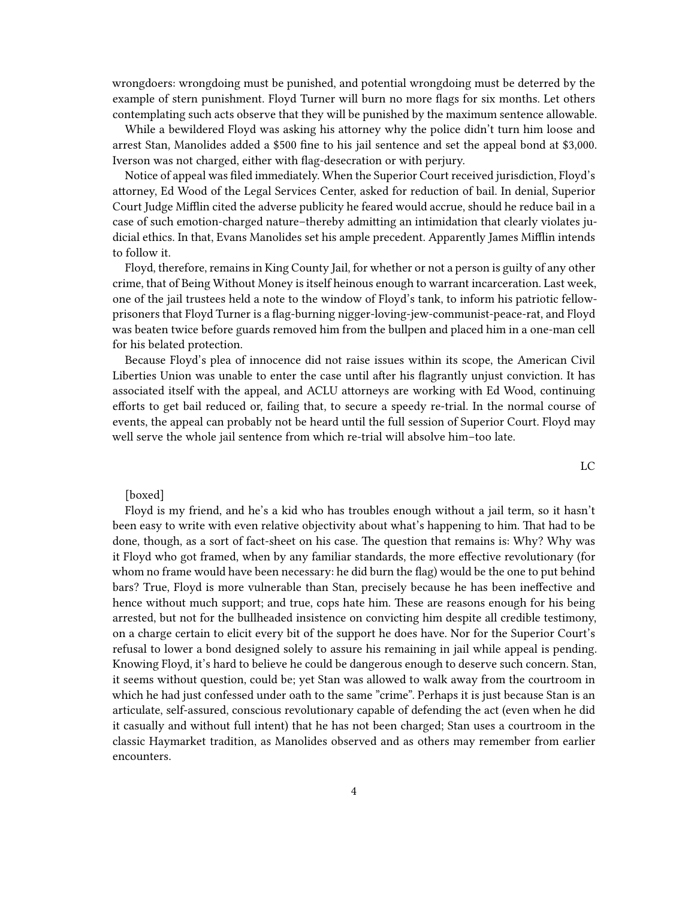wrongdoers: wrongdoing must be punished, and potential wrongdoing must be deterred by the example of stern punishment. Floyd Turner will burn no more flags for six months. Let others contemplating such acts observe that they will be punished by the maximum sentence allowable.

While a bewildered Floyd was asking his attorney why the police didn't turn him loose and arrest Stan, Manolides added a \$500 fine to his jail sentence and set the appeal bond at \$3,000. Iverson was not charged, either with flag-desecration or with perjury.

Notice of appeal was filed immediately. When the Superior Court received jurisdiction, Floyd's attorney, Ed Wood of the Legal Services Center, asked for reduction of bail. In denial, Superior Court Judge Mifflin cited the adverse publicity he feared would accrue, should he reduce bail in a case of such emotion-charged nature–thereby admitting an intimidation that clearly violates judicial ethics. In that, Evans Manolides set his ample precedent. Apparently James Mifflin intends to follow it.

Floyd, therefore, remains in King County Jail, for whether or not a person is guilty of any other crime, that of Being Without Money is itself heinous enough to warrant incarceration. Last week, one of the jail trustees held a note to the window of Floyd's tank, to inform his patriotic fellowprisoners that Floyd Turner is a flag-burning nigger-loving-jew-communist-peace-rat, and Floyd was beaten twice before guards removed him from the bullpen and placed him in a one-man cell for his belated protection.

Because Floyd's plea of innocence did not raise issues within its scope, the American Civil Liberties Union was unable to enter the case until after his flagrantly unjust conviction. It has associated itself with the appeal, and ACLU attorneys are working with Ed Wood, continuing efforts to get bail reduced or, failing that, to secure a speedy re-trial. In the normal course of events, the appeal can probably not be heard until the full session of Superior Court. Floyd may well serve the whole jail sentence from which re-trial will absolve him–too late.

LC

## [boxed]

Floyd is my friend, and he's a kid who has troubles enough without a jail term, so it hasn't been easy to write with even relative objectivity about what's happening to him. That had to be done, though, as a sort of fact-sheet on his case. The question that remains is: Why? Why was it Floyd who got framed, when by any familiar standards, the more effective revolutionary (for whom no frame would have been necessary: he did burn the flag) would be the one to put behind bars? True, Floyd is more vulnerable than Stan, precisely because he has been ineffective and hence without much support; and true, cops hate him. These are reasons enough for his being arrested, but not for the bullheaded insistence on convicting him despite all credible testimony, on a charge certain to elicit every bit of the support he does have. Nor for the Superior Court's refusal to lower a bond designed solely to assure his remaining in jail while appeal is pending. Knowing Floyd, it's hard to believe he could be dangerous enough to deserve such concern. Stan, it seems without question, could be; yet Stan was allowed to walk away from the courtroom in which he had just confessed under oath to the same "crime". Perhaps it is just because Stan is an articulate, self-assured, conscious revolutionary capable of defending the act (even when he did it casually and without full intent) that he has not been charged; Stan uses a courtroom in the classic Haymarket tradition, as Manolides observed and as others may remember from earlier encounters.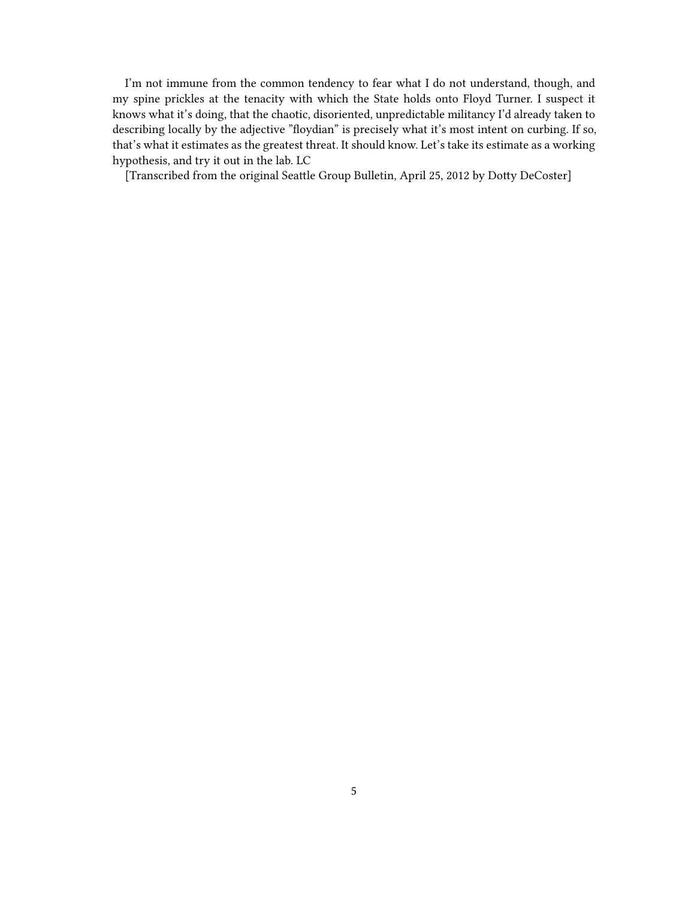I'm not immune from the common tendency to fear what I do not understand, though, and my spine prickles at the tenacity with which the State holds onto Floyd Turner. I suspect it knows what it's doing, that the chaotic, disoriented, unpredictable militancy I'd already taken to describing locally by the adjective "floydian" is precisely what it's most intent on curbing. If so, that's what it estimates as the greatest threat. It should know. Let's take its estimate as a working hypothesis, and try it out in the lab. LC

[Transcribed from the original Seattle Group Bulletin, April 25, 2012 by Dotty DeCoster]